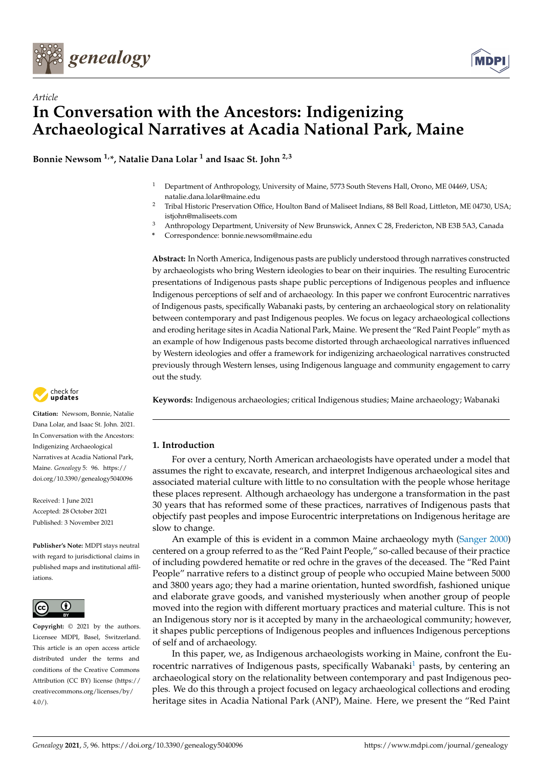



# *Article* **In Conversation with the Ancestors: Indigenizing Archaeological Narratives at Acadia National Park, Maine**

**Bonnie Newsom 1,\*, Natalie Dana Lolar <sup>1</sup> and Isaac St. John 2,3**

- <sup>1</sup> Department of Anthropology, University of Maine, 5773 South Stevens Hall, Orono, ME 04469, USA; natalie.dana.lolar@maine.edu
- <sup>2</sup> Tribal Historic Preservation Office, Houlton Band of Maliseet Indians, 88 Bell Road, Littleton, ME 04730, USA; istiohn@maliseets.com
- <sup>3</sup> Anthropology Department, University of New Brunswick, Annex C 28, Fredericton, NB E3B 5A3, Canada
- **\*** Correspondence: bonnie.newsom@maine.edu

**Abstract:** In North America, Indigenous pasts are publicly understood through narratives constructed by archaeologists who bring Western ideologies to bear on their inquiries. The resulting Eurocentric presentations of Indigenous pasts shape public perceptions of Indigenous peoples and influence Indigenous perceptions of self and of archaeology. In this paper we confront Eurocentric narratives of Indigenous pasts, specifically Wabanaki pasts, by centering an archaeological story on relationality between contemporary and past Indigenous peoples. We focus on legacy archaeological collections and eroding heritage sites in Acadia National Park, Maine. We present the "Red Paint People" myth as an example of how Indigenous pasts become distorted through archaeological narratives influenced by Western ideologies and offer a framework for indigenizing archaeological narratives constructed previously through Western lenses, using Indigenous language and community engagement to carry out the study.



**Citation:** Newsom, Bonnie, Natalie Dana Lolar, and Isaac St. John. 2021. In Conversation with the Ancestors: Indigenizing Archaeological Narratives at Acadia National Park, Maine. *Genealogy* 5: 96. [https://](https://doi.org/10.3390/genealogy5040096) [doi.org/10.3390/genealogy5040096](https://doi.org/10.3390/genealogy5040096)

Received: 1 June 2021 Accepted: 28 October 2021 Published: 3 November 2021

**Publisher's Note:** MDPI stays neutral with regard to jurisdictional claims in published maps and institutional affiliations.



**Copyright:** © 2021 by the authors. Licensee MDPI, Basel, Switzerland. This article is an open access article distributed under the terms and conditions of the Creative Commons Attribution (CC BY) license (https:/[/](https://creativecommons.org/licenses/by/4.0/) [creativecommons.org/licenses/by/](https://creativecommons.org/licenses/by/4.0/)  $4.0/$ ).

**Keywords:** Indigenous archaeologies; critical Indigenous studies; Maine archaeology; Wabanaki

# **1. Introduction**

For over a century, North American archaeologists have operated under a model that assumes the right to excavate, research, and interpret Indigenous archaeological sites and associated material culture with little to no consultation with the people whose heritage these places represent. Although archaeology has undergone a transformation in the past 30 years that has reformed some of these practices, narratives of Indigenous pasts that objectify past peoples and impose Eurocentric interpretations on Indigenous heritage are slow to change.

An example of this is evident in a common Maine archaeology myth [\(Sanger](#page-9-0) [2000\)](#page-9-0) centered on a group referred to as the "Red Paint People," so-called because of their practice of including powdered hematite or red ochre in the graves of the deceased. The "Red Paint People" narrative refers to a distinct group of people who occupied Maine between 5000 and 3800 years ago; they had a marine orientation, hunted swordfish, fashioned unique and elaborate grave goods, and vanished mysteriously when another group of people moved into the region with different mortuary practices and material culture. This is not an Indigenous story nor is it accepted by many in the archaeological community; however, it shapes public perceptions of Indigenous peoples and influences Indigenous perceptions of self and of archaeology.

<span id="page-0-0"></span>In this paper, we, as Indigenous archaeologists working in Maine, confront the Eu-rocentric narratives of Indigenous pasts, specifically Wabanaki<sup>[1](#page-8-0)</sup> pasts, by centering an archaeological story on the relationality between contemporary and past Indigenous peoples. We do this through a project focused on legacy archaeological collections and eroding heritage sites in Acadia National Park (ANP), Maine. Here, we present the "Red Paint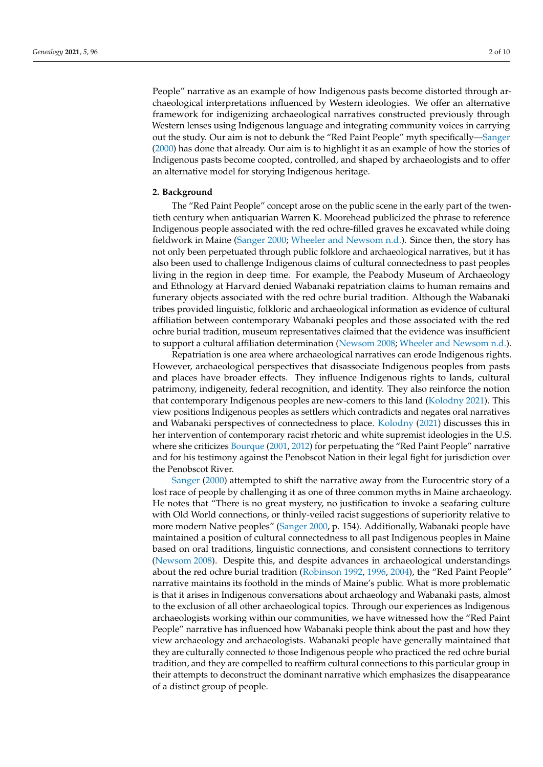People" narrative as an example of how Indigenous pasts become distorted through archaeological interpretations influenced by Western ideologies. We offer an alternative framework for indigenizing archaeological narratives constructed previously through Western lenses using Indigenous language and integrating community voices in carrying out the study. Our aim is not to debunk the "Red Paint People" myth specifically[—Sanger](#page-9-0) [\(2000\)](#page-9-0) has done that already. Our aim is to highlight it as an example of how the stories of Indigenous pasts become coopted, controlled, and shaped by archaeologists and to offer an alternative model for storying Indigenous heritage.

#### **2. Background**

The "Red Paint People" concept arose on the public scene in the early part of the twentieth century when antiquarian Warren K. Moorehead publicized the phrase to reference Indigenous people associated with the red ochre-filled graves he excavated while doing fieldwork in Maine [\(Sanger](#page-9-0) [2000;](#page-9-0) [Wheeler and Newsom](#page-9-1) [n.d.\)](#page-9-1). Since then, the story has not only been perpetuated through public folklore and archaeological narratives, but it has also been used to challenge Indigenous claims of cultural connectedness to past peoples living in the region in deep time. For example, the Peabody Museum of Archaeology and Ethnology at Harvard denied Wabanaki repatriation claims to human remains and funerary objects associated with the red ochre burial tradition. Although the Wabanaki tribes provided linguistic, folkloric and archaeological information as evidence of cultural affiliation between contemporary Wabanaki peoples and those associated with the red ochre burial tradition, museum representatives claimed that the evidence was insufficient to support a cultural affiliation determination [\(Newsom](#page-9-2) [2008;](#page-9-2) [Wheeler and Newsom](#page-9-1) [n.d.\)](#page-9-1).

Repatriation is one area where archaeological narratives can erode Indigenous rights. However, archaeological perspectives that disassociate Indigenous peoples from pasts and places have broader effects. They influence Indigenous rights to lands, cultural patrimony, indigeneity, federal recognition, and identity. They also reinforce the notion that contemporary Indigenous peoples are new-comers to this land [\(Kolodny](#page-9-3) [2021\)](#page-9-3). This view positions Indigenous peoples as settlers which contradicts and negates oral narratives and Wabanaki perspectives of connectedness to place. [Kolodny](#page-9-3) [\(2021\)](#page-9-3) discusses this in her intervention of contemporary racist rhetoric and white supremist ideologies in the U.S. where she criticizes [Bourque](#page-9-4) [\(2001,](#page-9-4) [2012\)](#page-9-5) for perpetuating the "Red Paint People" narrative and for his testimony against the Penobscot Nation in their legal fight for jurisdiction over the Penobscot River.

[Sanger](#page-9-0) [\(2000\)](#page-9-0) attempted to shift the narrative away from the Eurocentric story of a lost race of people by challenging it as one of three common myths in Maine archaeology. He notes that "There is no great mystery, no justification to invoke a seafaring culture with Old World connections, or thinly-veiled racist suggestions of superiority relative to more modern Native peoples" [\(Sanger](#page-9-0) [2000,](#page-9-0) p. 154). Additionally, Wabanaki people have maintained a position of cultural connectedness to all past Indigenous peoples in Maine based on oral traditions, linguistic connections, and consistent connections to territory [\(Newsom](#page-9-2) [2008\)](#page-9-2). Despite this, and despite advances in archaeological understandings about the red ochre burial tradition [\(Robinson](#page-9-6) [1992,](#page-9-6) [1996,](#page-9-7) [2004\)](#page-9-8), the "Red Paint People" narrative maintains its foothold in the minds of Maine's public. What is more problematic is that it arises in Indigenous conversations about archaeology and Wabanaki pasts, almost to the exclusion of all other archaeological topics. Through our experiences as Indigenous archaeologists working within our communities, we have witnessed how the "Red Paint People" narrative has influenced how Wabanaki people think about the past and how they view archaeology and archaeologists. Wabanaki people have generally maintained that they are culturally connected *to* those Indigenous people who practiced the red ochre burial tradition, and they are compelled to reaffirm cultural connections to this particular group in their attempts to deconstruct the dominant narrative which emphasizes the disappearance of a distinct group of people.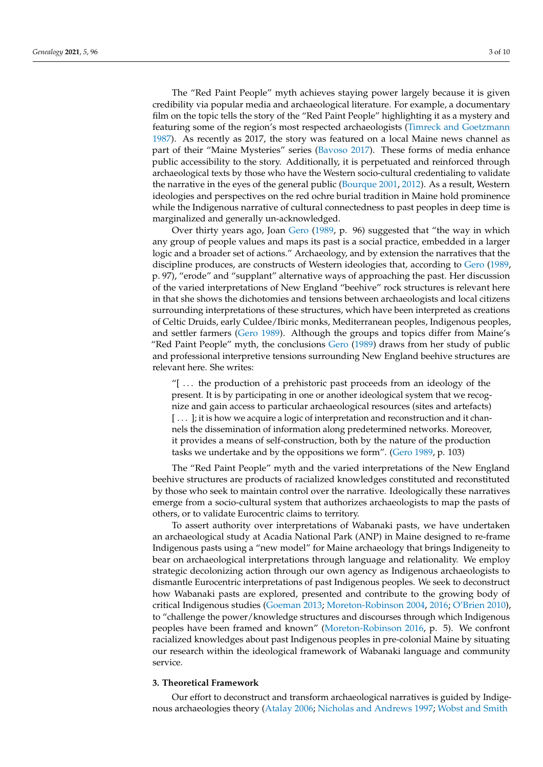The "Red Paint People" myth achieves staying power largely because it is given credibility via popular media and archaeological literature. For example, a documentary film on the topic tells the story of the "Red Paint People" highlighting it as a mystery and featuring some of the region's most respected archaeologists [\(Timreck and Goetzmann](#page-9-9) [1987\)](#page-9-9). As recently as 2017, the story was featured on a local Maine news channel as part of their "Maine Mysteries" series [\(Bavoso](#page-9-10) [2017\)](#page-9-10). These forms of media enhance public accessibility to the story. Additionally, it is perpetuated and reinforced through archaeological texts by those who have the Western socio-cultural credentialing to validate the narrative in the eyes of the general public [\(Bourque](#page-9-4) [2001,](#page-9-4) [2012\)](#page-9-5). As a result, Western ideologies and perspectives on the red ochre burial tradition in Maine hold prominence while the Indigenous narrative of cultural connectedness to past peoples in deep time is marginalized and generally un-acknowledged.

Over thirty years ago, Joan [Gero](#page-9-11) [\(1989,](#page-9-11) p. 96) suggested that "the way in which any group of people values and maps its past is a social practice, embedded in a larger logic and a broader set of actions." Archaeology, and by extension the narratives that the discipline produces, are constructs of Western ideologies that, according to [Gero](#page-9-11) [\(1989,](#page-9-11) p. 97), "erode" and "supplant" alternative ways of approaching the past. Her discussion of the varied interpretations of New England "beehive" rock structures is relevant here in that she shows the dichotomies and tensions between archaeologists and local citizens surrounding interpretations of these structures, which have been interpreted as creations of Celtic Druids, early Culdee/Ibiric monks, Mediterranean peoples, Indigenous peoples, and settler farmers [\(Gero](#page-9-11) [1989\)](#page-9-11). Although the groups and topics differ from Maine's "Red Paint People" myth, the conclusions [Gero](#page-9-11) [\(1989\)](#page-9-11) draws from her study of public and professional interpretive tensions surrounding New England beehive structures are relevant here. She writes:

"[ . . . the production of a prehistoric past proceeds from an ideology of the present. It is by participating in one or another ideological system that we recognize and gain access to particular archaeological resources (sites and artefacts) [ . . . ]; it is how we acquire a logic of interpretation and reconstruction and it channels the dissemination of information along predetermined networks. Moreover, it provides a means of self-construction, both by the nature of the production tasks we undertake and by the oppositions we form". [\(Gero](#page-9-11) [1989,](#page-9-11) p. 103)

The "Red Paint People" myth and the varied interpretations of the New England beehive structures are products of racialized knowledges constituted and reconstituted by those who seek to maintain control over the narrative. Ideologically these narratives emerge from a socio-cultural system that authorizes archaeologists to map the pasts of others, or to validate Eurocentric claims to territory.

To assert authority over interpretations of Wabanaki pasts, we have undertaken an archaeological study at Acadia National Park (ANP) in Maine designed to re-frame Indigenous pasts using a "new model" for Maine archaeology that brings Indigeneity to bear on archaeological interpretations through language and relationality. We employ strategic decolonizing action through our own agency as Indigenous archaeologists to dismantle Eurocentric interpretations of past Indigenous peoples. We seek to deconstruct how Wabanaki pasts are explored, presented and contribute to the growing body of critical Indigenous studies [\(Goeman](#page-9-12) [2013;](#page-9-12) [Moreton-Robinson](#page-9-13) [2004,](#page-9-13) [2016;](#page-9-14) [O'Brien](#page-9-15) [2010\)](#page-9-15), to "challenge the power/knowledge structures and discourses through which Indigenous peoples have been framed and known" [\(Moreton-Robinson](#page-9-14) [2016,](#page-9-14) p. 5). We confront racialized knowledges about past Indigenous peoples in pre-colonial Maine by situating our research within the ideological framework of Wabanaki language and community service.

## **3. Theoretical Framework**

Our effort to deconstruct and transform archaeological narratives is guided by Indigenous archaeologies theory [\(Atalay](#page-9-16) [2006;](#page-9-16) [Nicholas and Andrews](#page-9-17) [1997;](#page-9-17) [Wobst and Smith](#page-9-18)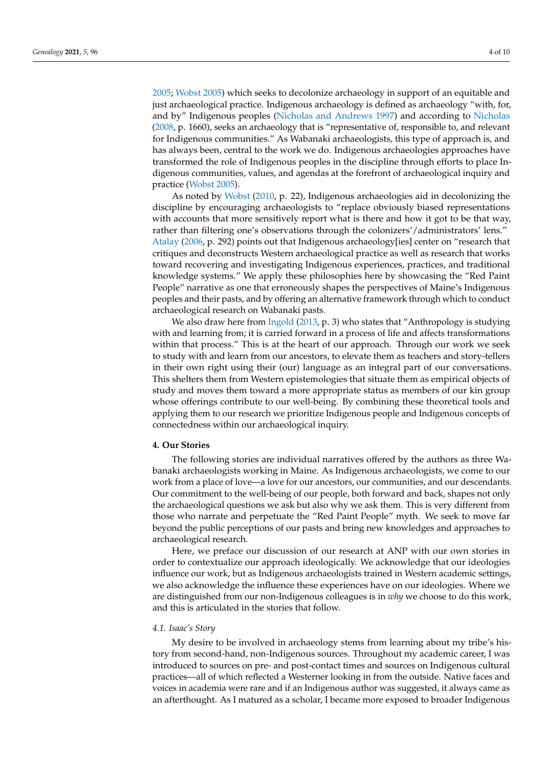[2005;](#page-9-18) [Wobst](#page-9-19) [2005\)](#page-9-19) which seeks to decolonize archaeology in support of an equitable and just archaeological practice. Indigenous archaeology is defined as archaeology "with, for, and by" Indigenous peoples [\(Nicholas and Andrews](#page-9-17) [1997\)](#page-9-17) and according to [Nicholas](#page-9-20) [\(2008,](#page-9-20) p. 1660), seeks an archaeology that is "representative of, responsible to, and relevant for Indigenous communities." As Wabanaki archaeologists, this type of approach is, and has always been, central to the work we do. Indigenous archaeologies approaches have transformed the role of Indigenous peoples in the discipline through efforts to place Indigenous communities, values, and agendas at the forefront of archaeological inquiry and practice [\(Wobst](#page-9-19) [2005\)](#page-9-19).

As noted by [Wobst](#page-9-21) [\(2010,](#page-9-21) p. 22), Indigenous archaeologies aid in decolonizing the discipline by encouraging archaeologists to "replace obviously biased representations with accounts that more sensitively report what is there and how it got to be that way, rather than filtering one's observations through the colonizers'/administrators' lens." [Atalay](#page-9-16) [\(2006,](#page-9-16) p. 292) points out that Indigenous archaeology[ies] center on "research that critiques and deconstructs Western archaeological practice as well as research that works toward recovering and investigating Indigenous experiences, practices, and traditional knowledge systems." We apply these philosophies here by showcasing the "Red Paint People" narrative as one that erroneously shapes the perspectives of Maine's Indigenous peoples and their pasts, and by offering an alternative framework through which to conduct archaeological research on Wabanaki pasts.

We also draw here from [Ingold](#page-9-22) [\(2013,](#page-9-22) p. 3) who states that "Anthropology is studying with and learning from; it is carried forward in a process of life and affects transformations within that process." This is at the heart of our approach. Through our work we seek to study with and learn from our ancestors, to elevate them as teachers and story-tellers in their own right using their (our) language as an integral part of our conversations. This shelters them from Western epistemologies that situate them as empirical objects of study and moves them toward a more appropriate status as members of our kin group whose offerings contribute to our well-being. By combining these theoretical tools and applying them to our research we prioritize Indigenous people and Indigenous concepts of connectedness within our archaeological inquiry.

# **4. Our Stories**

The following stories are individual narratives offered by the authors as three Wabanaki archaeologists working in Maine. As Indigenous archaeologists, we come to our work from a place of love—a love for our ancestors, our communities, and our descendants. Our commitment to the well-being of our people, both forward and back, shapes not only the archaeological questions we ask but also why we ask them. This is very different from those who narrate and perpetuate the "Red Paint People" myth. We seek to move far beyond the public perceptions of our pasts and bring new knowledges and approaches to archaeological research.

Here, we preface our discussion of our research at ANP with our own stories in order to contextualize our approach ideologically. We acknowledge that our ideologies influence our work, but as Indigenous archaeologists trained in Western academic settings, we also acknowledge the influence these experiences have on our ideologies. Where we are distinguished from our non-Indigenous colleagues is in *why* we choose to do this work, and this is articulated in the stories that follow.

#### *4.1. Isaac's Story*

My desire to be involved in archaeology stems from learning about my tribe's history from second-hand, non-Indigenous sources. Throughout my academic career, I was introduced to sources on pre- and post-contact times and sources on Indigenous cultural practices—all of which reflected a Westerner looking in from the outside. Native faces and voices in academia were rare and if an Indigenous author was suggested, it always came as an afterthought. As I matured as a scholar, I became more exposed to broader Indigenous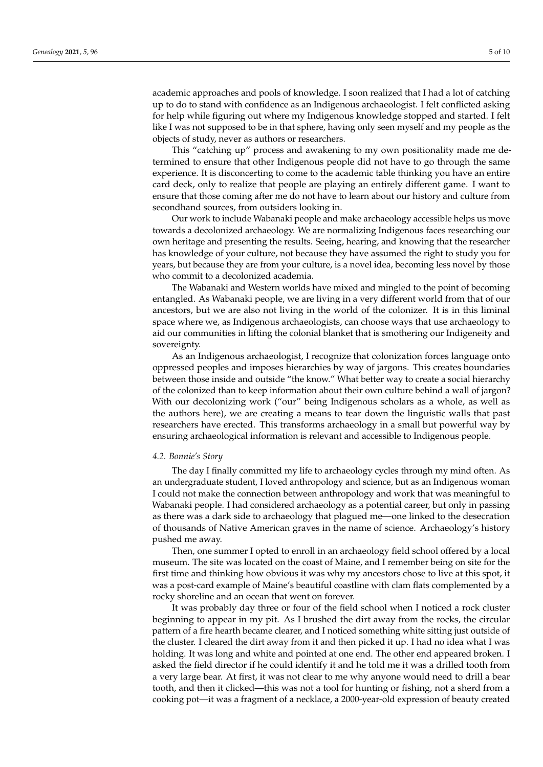academic approaches and pools of knowledge. I soon realized that I had a lot of catching up to do to stand with confidence as an Indigenous archaeologist. I felt conflicted asking for help while figuring out where my Indigenous knowledge stopped and started. I felt like I was not supposed to be in that sphere, having only seen myself and my people as the objects of study, never as authors or researchers.

This "catching up" process and awakening to my own positionality made me determined to ensure that other Indigenous people did not have to go through the same experience. It is disconcerting to come to the academic table thinking you have an entire card deck, only to realize that people are playing an entirely different game. I want to ensure that those coming after me do not have to learn about our history and culture from secondhand sources, from outsiders looking in.

Our work to include Wabanaki people and make archaeology accessible helps us move towards a decolonized archaeology. We are normalizing Indigenous faces researching our own heritage and presenting the results. Seeing, hearing, and knowing that the researcher has knowledge of your culture, not because they have assumed the right to study you for years, but because they are from your culture, is a novel idea, becoming less novel by those who commit to a decolonized academia.

The Wabanaki and Western worlds have mixed and mingled to the point of becoming entangled. As Wabanaki people, we are living in a very different world from that of our ancestors, but we are also not living in the world of the colonizer. It is in this liminal space where we, as Indigenous archaeologists, can choose ways that use archaeology to aid our communities in lifting the colonial blanket that is smothering our Indigeneity and sovereignty.

As an Indigenous archaeologist, I recognize that colonization forces language onto oppressed peoples and imposes hierarchies by way of jargons. This creates boundaries between those inside and outside "the know." What better way to create a social hierarchy of the colonized than to keep information about their own culture behind a wall of jargon? With our decolonizing work ("our" being Indigenous scholars as a whole, as well as the authors here), we are creating a means to tear down the linguistic walls that past researchers have erected. This transforms archaeology in a small but powerful way by ensuring archaeological information is relevant and accessible to Indigenous people.

#### *4.2. Bonnie's Story*

The day I finally committed my life to archaeology cycles through my mind often. As an undergraduate student, I loved anthropology and science, but as an Indigenous woman I could not make the connection between anthropology and work that was meaningful to Wabanaki people. I had considered archaeology as a potential career, but only in passing as there was a dark side to archaeology that plagued me—one linked to the desecration of thousands of Native American graves in the name of science. Archaeology's history pushed me away.

Then, one summer I opted to enroll in an archaeology field school offered by a local museum. The site was located on the coast of Maine, and I remember being on site for the first time and thinking how obvious it was why my ancestors chose to live at this spot, it was a post-card example of Maine's beautiful coastline with clam flats complemented by a rocky shoreline and an ocean that went on forever.

It was probably day three or four of the field school when I noticed a rock cluster beginning to appear in my pit. As I brushed the dirt away from the rocks, the circular pattern of a fire hearth became clearer, and I noticed something white sitting just outside of the cluster. I cleared the dirt away from it and then picked it up. I had no idea what I was holding. It was long and white and pointed at one end. The other end appeared broken. I asked the field director if he could identify it and he told me it was a drilled tooth from a very large bear. At first, it was not clear to me why anyone would need to drill a bear tooth, and then it clicked—this was not a tool for hunting or fishing, not a sherd from a cooking pot—it was a fragment of a necklace, a 2000-year-old expression of beauty created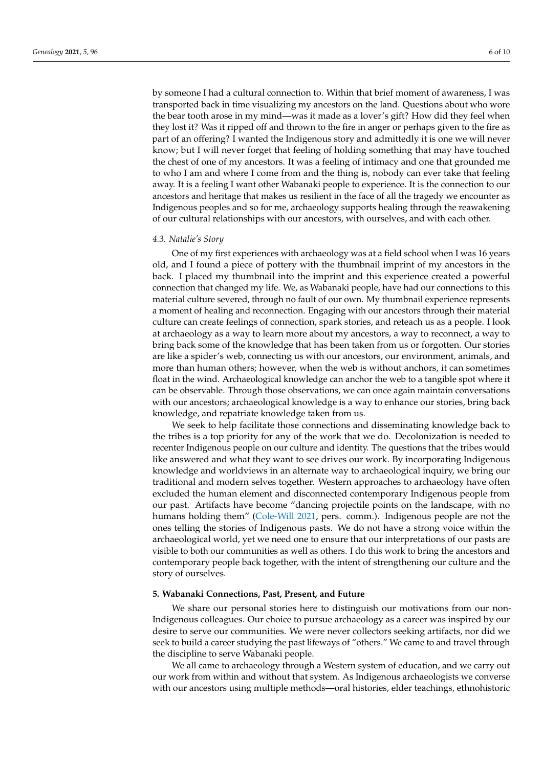by someone I had a cultural connection to. Within that brief moment of awareness, I was transported back in time visualizing my ancestors on the land. Questions about who wore the bear tooth arose in my mind—was it made as a lover's gift? How did they feel when they lost it? Was it ripped off and thrown to the fire in anger or perhaps given to the fire as part of an offering? I wanted the Indigenous story and admittedly it is one we will never know; but I will never forget that feeling of holding something that may have touched the chest of one of my ancestors. It was a feeling of intimacy and one that grounded me to who I am and where I come from and the thing is, nobody can ever take that feeling away. It is a feeling I want other Wabanaki people to experience. It is the connection to our ancestors and heritage that makes us resilient in the face of all the tragedy we encounter as Indigenous peoples and so for me, archaeology supports healing through the reawakening of our cultural relationships with our ancestors, with ourselves, and with each other.

#### *4.3. Natalie's Story*

One of my first experiences with archaeology was at a field school when I was 16 years old, and I found a piece of pottery with the thumbnail imprint of my ancestors in the back. I placed my thumbnail into the imprint and this experience created a powerful connection that changed my life. We, as Wabanaki people, have had our connections to this material culture severed, through no fault of our own. My thumbnail experience represents a moment of healing and reconnection. Engaging with our ancestors through their material culture can create feelings of connection, spark stories, and reteach us as a people. I look at archaeology as a way to learn more about my ancestors, a way to reconnect, a way to bring back some of the knowledge that has been taken from us or forgotten. Our stories are like a spider's web, connecting us with our ancestors, our environment, animals, and more than human others; however, when the web is without anchors, it can sometimes float in the wind. Archaeological knowledge can anchor the web to a tangible spot where it can be observable. Through those observations, we can once again maintain conversations with our ancestors; archaeological knowledge is a way to enhance our stories, bring back knowledge, and repatriate knowledge taken from us.

We seek to help facilitate those connections and disseminating knowledge back to the tribes is a top priority for any of the work that we do. Decolonization is needed to recenter Indigenous people on our culture and identity. The questions that the tribes would like answered and what they want to see drives our work. By incorporating Indigenous knowledge and worldviews in an alternate way to archaeological inquiry, we bring our traditional and modern selves together. Western approaches to archaeology have often excluded the human element and disconnected contemporary Indigenous people from our past. Artifacts have become "dancing projectile points on the landscape, with no humans holding them" [\(Cole-Will](#page-9-23) [2021,](#page-9-23) pers. comm.). Indigenous people are not the ones telling the stories of Indigenous pasts. We do not have a strong voice within the archaeological world, yet we need one to ensure that our interpretations of our pasts are visible to both our communities as well as others. I do this work to bring the ancestors and contemporary people back together, with the intent of strengthening our culture and the story of ourselves.

#### **5. Wabanaki Connections, Past, Present, and Future**

We share our personal stories here to distinguish our motivations from our non-Indigenous colleagues. Our choice to pursue archaeology as a career was inspired by our desire to serve our communities. We were never collectors seeking artifacts, nor did we seek to build a career studying the past lifeways of "others." We came to and travel through the discipline to serve Wabanaki people.

We all came to archaeology through a Western system of education, and we carry out our work from within and without that system. As Indigenous archaeologists we converse with our ancestors using multiple methods—oral histories, elder teachings, ethnohistoric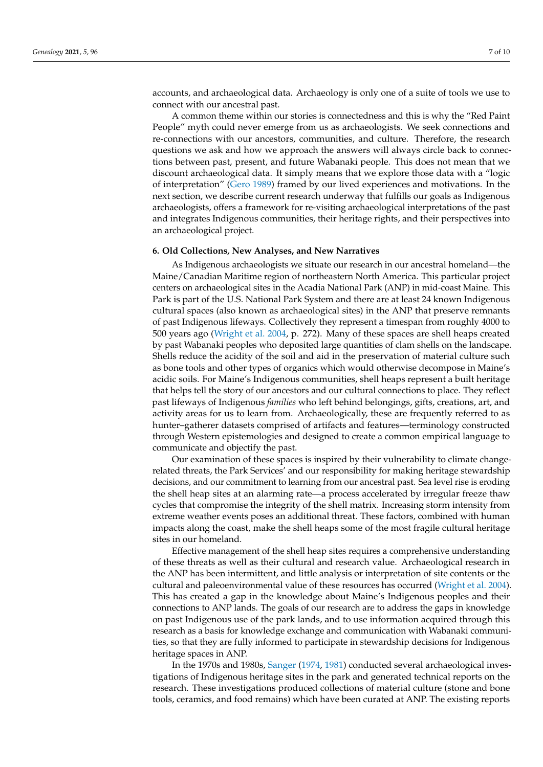accounts, and archaeological data. Archaeology is only one of a suite of tools we use to connect with our ancestral past.

A common theme within our stories is connectedness and this is why the "Red Paint People" myth could never emerge from us as archaeologists. We seek connections and re-connections with our ancestors, communities, and culture. Therefore, the research questions we ask and how we approach the answers will always circle back to connections between past, present, and future Wabanaki people. This does not mean that we discount archaeological data. It simply means that we explore those data with a "logic of interpretation" [\(Gero](#page-9-11) [1989\)](#page-9-11) framed by our lived experiences and motivations. In the next section, we describe current research underway that fulfills our goals as Indigenous archaeologists, offers a framework for re-visiting archaeological interpretations of the past and integrates Indigenous communities, their heritage rights, and their perspectives into an archaeological project.

#### **6. Old Collections, New Analyses, and New Narratives**

As Indigenous archaeologists we situate our research in our ancestral homeland—the Maine/Canadian Maritime region of northeastern North America. This particular project centers on archaeological sites in the Acadia National Park (ANP) in mid-coast Maine. This Park is part of the U.S. National Park System and there are at least 24 known Indigenous cultural spaces (also known as archaeological sites) in the ANP that preserve remnants of past Indigenous lifeways. Collectively they represent a timespan from roughly 4000 to 500 years ago [\(Wright et al.](#page-9-24) [2004,](#page-9-24) p. 272). Many of these spaces are shell heaps created by past Wabanaki peoples who deposited large quantities of clam shells on the landscape. Shells reduce the acidity of the soil and aid in the preservation of material culture such as bone tools and other types of organics which would otherwise decompose in Maine's acidic soils. For Maine's Indigenous communities, shell heaps represent a built heritage that helps tell the story of our ancestors and our cultural connections to place. They reflect past lifeways of Indigenous *families* who left behind belongings, gifts, creations, art, and activity areas for us to learn from. Archaeologically, these are frequently referred to as hunter–gatherer datasets comprised of artifacts and features—terminology constructed through Western epistemologies and designed to create a common empirical language to communicate and objectify the past.

Our examination of these spaces is inspired by their vulnerability to climate changerelated threats, the Park Services' and our responsibility for making heritage stewardship decisions, and our commitment to learning from our ancestral past. Sea level rise is eroding the shell heap sites at an alarming rate—a process accelerated by irregular freeze thaw cycles that compromise the integrity of the shell matrix. Increasing storm intensity from extreme weather events poses an additional threat. These factors, combined with human impacts along the coast, make the shell heaps some of the most fragile cultural heritage sites in our homeland.

Effective management of the shell heap sites requires a comprehensive understanding of these threats as well as their cultural and research value. Archaeological research in the ANP has been intermittent, and little analysis or interpretation of site contents or the cultural and paleoenvironmental value of these resources has occurred [\(Wright et al.](#page-9-24) [2004\)](#page-9-24). This has created a gap in the knowledge about Maine's Indigenous peoples and their connections to ANP lands. The goals of our research are to address the gaps in knowledge on past Indigenous use of the park lands, and to use information acquired through this research as a basis for knowledge exchange and communication with Wabanaki communities, so that they are fully informed to participate in stewardship decisions for Indigenous heritage spaces in ANP.

In the 1970s and 1980s, [Sanger](#page-9-25) [\(1974,](#page-9-25) [1981\)](#page-9-26) conducted several archaeological investigations of Indigenous heritage sites in the park and generated technical reports on the research. These investigations produced collections of material culture (stone and bone tools, ceramics, and food remains) which have been curated at ANP. The existing reports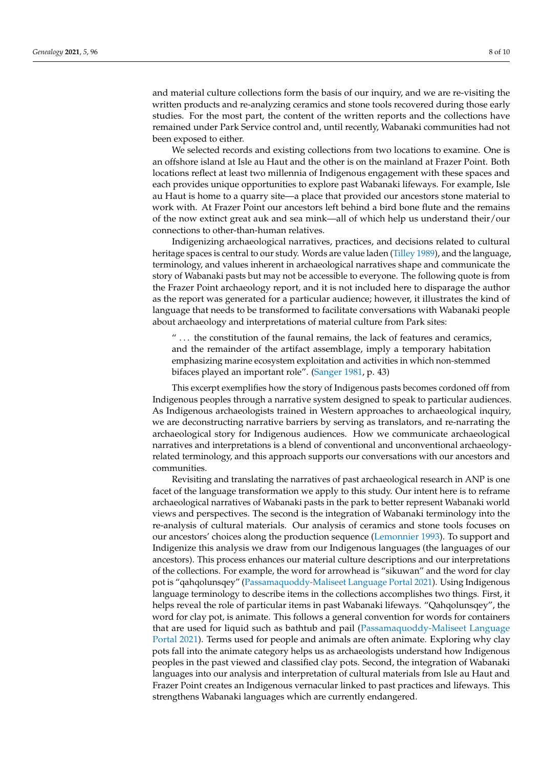and material culture collections form the basis of our inquiry, and we are re-visiting the written products and re-analyzing ceramics and stone tools recovered during those early studies. For the most part, the content of the written reports and the collections have remained under Park Service control and, until recently, Wabanaki communities had not been exposed to either.

We selected records and existing collections from two locations to examine. One is an offshore island at Isle au Haut and the other is on the mainland at Frazer Point. Both locations reflect at least two millennia of Indigenous engagement with these spaces and each provides unique opportunities to explore past Wabanaki lifeways. For example, Isle au Haut is home to a quarry site—a place that provided our ancestors stone material to work with. At Frazer Point our ancestors left behind a bird bone flute and the remains of the now extinct great auk and sea mink—all of which help us understand their/our connections to other-than-human relatives.

Indigenizing archaeological narratives, practices, and decisions related to cultural heritage spaces is central to our study. Words are value laden [\(Tilley](#page-9-27) [1989\)](#page-9-27), and the language, terminology, and values inherent in archaeological narratives shape and communicate the story of Wabanaki pasts but may not be accessible to everyone. The following quote is from the Frazer Point archaeology report, and it is not included here to disparage the author as the report was generated for a particular audience; however, it illustrates the kind of language that needs to be transformed to facilitate conversations with Wabanaki people about archaeology and interpretations of material culture from Park sites:

" ... the constitution of the faunal remains, the lack of features and ceramics, and the remainder of the artifact assemblage, imply a temporary habitation emphasizing marine ecosystem exploitation and activities in which non-stemmed bifaces played an important role". [\(Sanger](#page-9-26) [1981,](#page-9-26) p. 43)

This excerpt exemplifies how the story of Indigenous pasts becomes cordoned off from Indigenous peoples through a narrative system designed to speak to particular audiences. As Indigenous archaeologists trained in Western approaches to archaeological inquiry, we are deconstructing narrative barriers by serving as translators, and re-narrating the archaeological story for Indigenous audiences. How we communicate archaeological narratives and interpretations is a blend of conventional and unconventional archaeologyrelated terminology, and this approach supports our conversations with our ancestors and communities.

Revisiting and translating the narratives of past archaeological research in ANP is one facet of the language transformation we apply to this study. Our intent here is to reframe archaeological narratives of Wabanaki pasts in the park to better represent Wabanaki world views and perspectives. The second is the integration of Wabanaki terminology into the re-analysis of cultural materials. Our analysis of ceramics and stone tools focuses on our ancestors' choices along the production sequence [\(Lemonnier](#page-9-28) [1993\)](#page-9-28). To support and Indigenize this analysis we draw from our Indigenous languages (the languages of our ancestors). This process enhances our material culture descriptions and our interpretations of the collections. For example, the word for arrowhead is "sikuwan" and the word for clay pot is "qahqolunsqey" [\(Passamaquoddy-Maliseet Language Portal](#page-9-29) [2021\)](#page-9-29). Using Indigenous language terminology to describe items in the collections accomplishes two things. First, it helps reveal the role of particular items in past Wabanaki lifeways. "Qahqolunsqey", the word for clay pot, is animate. This follows a general convention for words for containers that are used for liquid such as bathtub and pail [\(Passamaquoddy-Maliseet Language](#page-9-29) [Portal](#page-9-29) [2021\)](#page-9-29). Terms used for people and animals are often animate. Exploring why clay pots fall into the animate category helps us as archaeologists understand how Indigenous peoples in the past viewed and classified clay pots. Second, the integration of Wabanaki languages into our analysis and interpretation of cultural materials from Isle au Haut and Frazer Point creates an Indigenous vernacular linked to past practices and lifeways. This strengthens Wabanaki languages which are currently endangered.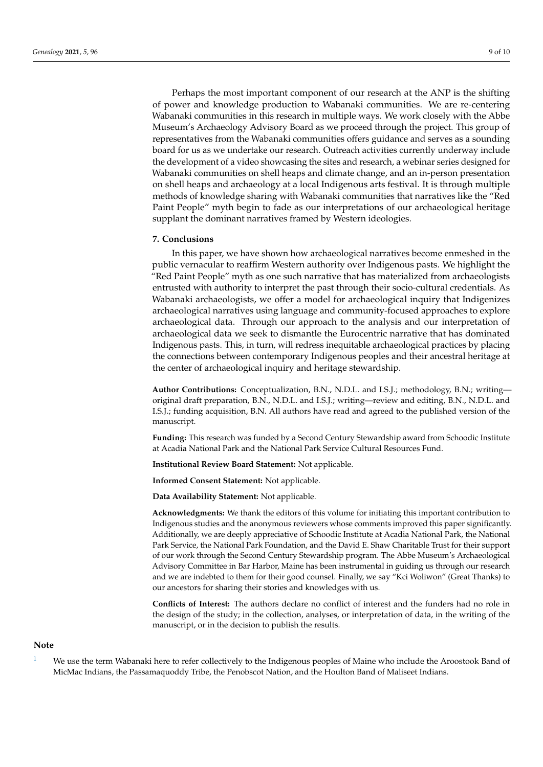Perhaps the most important component of our research at the ANP is the shifting of power and knowledge production to Wabanaki communities. We are re-centering Wabanaki communities in this research in multiple ways. We work closely with the Abbe Museum's Archaeology Advisory Board as we proceed through the project. This group of representatives from the Wabanaki communities offers guidance and serves as a sounding board for us as we undertake our research. Outreach activities currently underway include the development of a video showcasing the sites and research, a webinar series designed for Wabanaki communities on shell heaps and climate change, and an in-person presentation on shell heaps and archaeology at a local Indigenous arts festival. It is through multiple methods of knowledge sharing with Wabanaki communities that narratives like the "Red Paint People" myth begin to fade as our interpretations of our archaeological heritage supplant the dominant narratives framed by Western ideologies.

#### **7. Conclusions**

In this paper, we have shown how archaeological narratives become enmeshed in the public vernacular to reaffirm Western authority over Indigenous pasts. We highlight the "Red Paint People" myth as one such narrative that has materialized from archaeologists entrusted with authority to interpret the past through their socio-cultural credentials. As Wabanaki archaeologists, we offer a model for archaeological inquiry that Indigenizes archaeological narratives using language and community-focused approaches to explore archaeological data. Through our approach to the analysis and our interpretation of archaeological data we seek to dismantle the Eurocentric narrative that has dominated Indigenous pasts. This, in turn, will redress inequitable archaeological practices by placing the connections between contemporary Indigenous peoples and their ancestral heritage at the center of archaeological inquiry and heritage stewardship.

**Author Contributions:** Conceptualization, B.N., N.D.L. and I.S.J.; methodology, B.N.; writing original draft preparation, B.N., N.D.L. and I.S.J.; writing—review and editing, B.N., N.D.L. and I.S.J.; funding acquisition, B.N. All authors have read and agreed to the published version of the manuscript.

**Funding:** This research was funded by a Second Century Stewardship award from Schoodic Institute at Acadia National Park and the National Park Service Cultural Resources Fund.

**Institutional Review Board Statement:** Not applicable.

**Informed Consent Statement:** Not applicable.

**Data Availability Statement:** Not applicable.

**Acknowledgments:** We thank the editors of this volume for initiating this important contribution to Indigenous studies and the anonymous reviewers whose comments improved this paper significantly. Additionally, we are deeply appreciative of Schoodic Institute at Acadia National Park, the National Park Service, the National Park Foundation, and the David E. Shaw Charitable Trust for their support of our work through the Second Century Stewardship program. The Abbe Museum's Archaeological Advisory Committee in Bar Harbor, Maine has been instrumental in guiding us through our research and we are indebted to them for their good counsel. Finally, we say "Kci Woliwon" (Great Thanks) to our ancestors for sharing their stories and knowledges with us.

**Conflicts of Interest:** The authors declare no conflict of interest and the funders had no role in the design of the study; in the collection, analyses, or interpretation of data, in the writing of the manuscript, or in the decision to publish the results.

#### **Note**

<span id="page-8-0"></span>[1](#page-0-0) We use the term Wabanaki here to refer collectively to the Indigenous peoples of Maine who include the Aroostook Band of MicMac Indians, the Passamaquoddy Tribe, the Penobscot Nation, and the Houlton Band of Maliseet Indians.